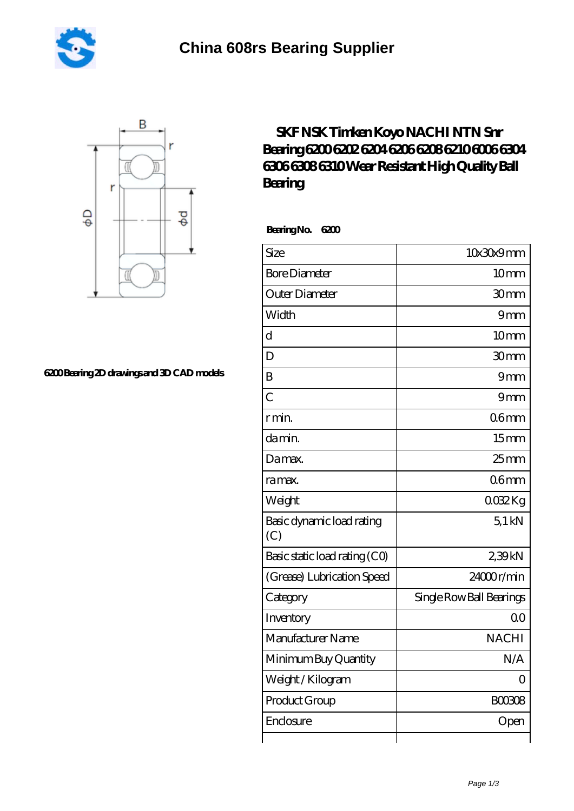



## **[6200 Bearing 2D drawings and 3D CAD models](https://m.sapuri-i.com/pic-821900.html)**

## **[SKF NSK Timken Koyo NACHI NTN Snr](https://m.sapuri-i.com/skf-6006-Bearing/821900.html) [Bearing 6200 6202 6204 6206 6208 6210 6006 6304](https://m.sapuri-i.com/skf-6006-Bearing/821900.html) [6306 6308 6310 Wear Resistant High Quality Ball](https://m.sapuri-i.com/skf-6006-Bearing/821900.html) [Bearing](https://m.sapuri-i.com/skf-6006-Bearing/821900.html)**

 **Bearing No. 6200**

| Size                             | 10x30x9mm                |
|----------------------------------|--------------------------|
| <b>Bore Diameter</b>             | 10 <sub>mm</sub>         |
| Outer Diameter                   | 30mm                     |
| Width                            | 9mm                      |
| $\overline{\rm d}$               | 10mm                     |
| D                                | 30mm                     |
| B                                | 9mm                      |
| $\overline{C}$                   | 9mm                      |
| r min.                           | 06 <sub>mm</sub>         |
| da min.                          | 15 <sub>mm</sub>         |
| Damax.                           | $25$ <sub>mm</sub>       |
| ra max.                          | 06 <sub>mm</sub>         |
| Weight                           | 0032Kg                   |
| Basic dynamic load rating<br>(C) | $5.1$ kN                 |
| Basic static load rating (CO)    | 239kN                    |
| (Grease) Lubrication Speed       | 24000r/min               |
| Category                         | Single Row Ball Bearings |
| Inventory                        | 0 <sup>0</sup>           |
| Manufacturer Name                | <b>NACHI</b>             |
| Minimum Buy Quantity             | N/A                      |
| Weight / Kilogram                | $\Omega$                 |
| Product Group                    | <b>BOO308</b>            |
| Enclosure                        | Open                     |
|                                  |                          |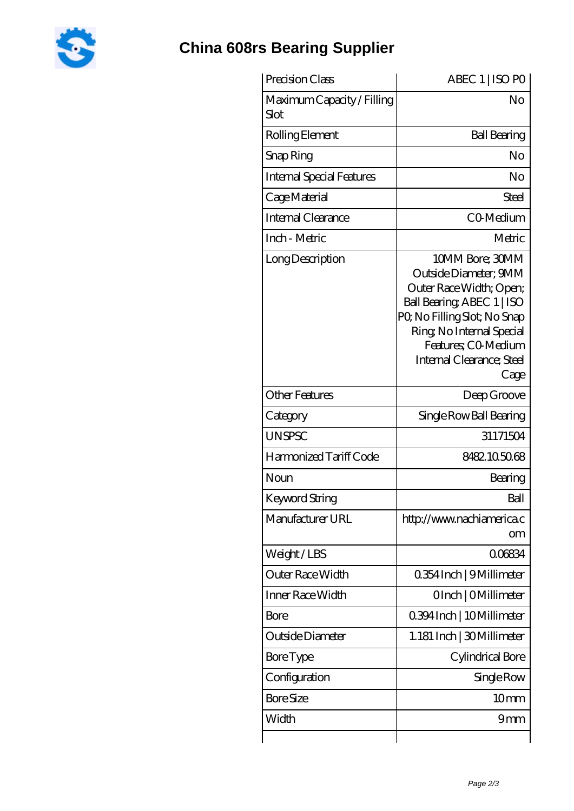

## **[China 608rs Bearing Supplier](https://m.sapuri-i.com)**

| Precision Class                    | ABEC 1   ISO PO                                                                                                                                                                                                           |
|------------------------------------|---------------------------------------------------------------------------------------------------------------------------------------------------------------------------------------------------------------------------|
| Maximum Capacity / Filling<br>Slot | No                                                                                                                                                                                                                        |
| Rolling Element                    | <b>Ball Bearing</b>                                                                                                                                                                                                       |
| Snap Ring                          | No                                                                                                                                                                                                                        |
| Internal Special Features          | No                                                                                                                                                                                                                        |
| Cage Material                      | Steel                                                                                                                                                                                                                     |
| Internal Clearance                 | CO-Medium                                                                                                                                                                                                                 |
| Inch - Metric                      | Metric                                                                                                                                                                                                                    |
| Long Description                   | 10MM Bore; 30MM<br>Outside Diameter: 9MM<br>Outer Race Width; Open;<br>Ball Bearing, ABEC 1   ISO<br>PQ No Filling Slot; No Snap<br>Ring, No Internal Special<br>Features; CO-Medium<br>Internal Clearance; Steel<br>Cage |
| <b>Other Features</b>              | Deep Groove                                                                                                                                                                                                               |
| Category                           | Single Row Ball Bearing                                                                                                                                                                                                   |
| <b>UNSPSC</b>                      | 31171504                                                                                                                                                                                                                  |
| Harmonized Tariff Code             | 8482.105068                                                                                                                                                                                                               |
| Noun                               | Bearing                                                                                                                                                                                                                   |
| <b>Keyword String</b>              | Ball                                                                                                                                                                                                                      |
| Manufacturer URL                   | http://www.nachiamerica.c<br>om                                                                                                                                                                                           |
| Weight/LBS                         | 0.06834                                                                                                                                                                                                                   |
| Outer Race Width                   | 0.354 Inch   9 Millimeter                                                                                                                                                                                                 |
| Inner Race Width                   | OInch   OMillimeter                                                                                                                                                                                                       |
| Bore                               | 0.394 Inch   10 Millimeter                                                                                                                                                                                                |
| Outside Diameter                   | 1.181 Inch   30Millimeter                                                                                                                                                                                                 |
| Bore Type                          | Cylindrical Bore                                                                                                                                                                                                          |
| Configuration                      | Single Row                                                                                                                                                                                                                |
| <b>Bore Size</b>                   | 10 <sub>mm</sub>                                                                                                                                                                                                          |
| Width                              | 9mm                                                                                                                                                                                                                       |
|                                    |                                                                                                                                                                                                                           |